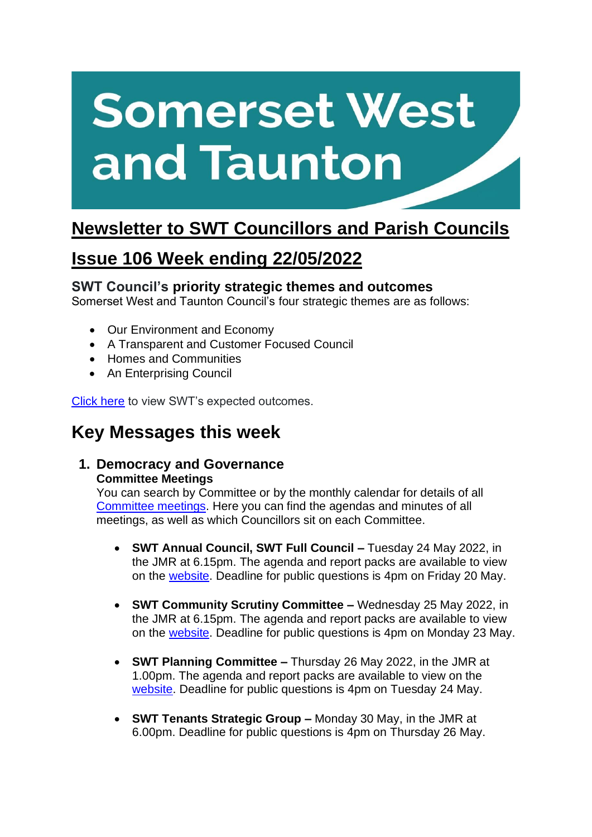# **Somerset West** and Taunton

# **Newsletter to SWT Councillors and Parish Councils**

# **Issue 106 Week ending 22/05/2022**

## **SWT Council's priority strategic themes and outcomes**

Somerset West and Taunton Council's four strategic themes are as follows:

- Our Environment and Economy
- A Transparent and Customer Focused Council
- Homes and Communities
- An Enterprising Council

[Click here](https://www.somersetwestandtaunton.gov.uk/your-council/corporate-strategy/) to view SWT's expected outcomes.

# **Key Messages this week**

#### **1. Democracy and Governance Committee Meetings**

You can search by Committee or by the monthly calendar for details of all [Committee meetings.](https://www.somersetwestandtaunton.gov.uk/your-council/council-meetings/) Here you can find the agendas and minutes of all meetings, as well as which Councillors sit on each Committee.

- **SWT Annual Council, SWT Full Council –** Tuesday 24 May 2022, in the JMR at 6.15pm. The agenda and report packs are available to view on the [website.](https://democracy.somersetwestandtaunton.gov.uk/ieListDocuments.aspx?MId=2891&x=1) Deadline for public questions is 4pm on Friday 20 May.
- **SWT Community Scrutiny Committee –** Wednesday 25 May 2022, in the JMR at 6.15pm. The agenda and report packs are available to view on the [website.](https://democracy.somersetwestandtaunton.gov.uk/ieListDocuments.aspx?CId=453&MId=3053) Deadline for public questions is 4pm on Monday 23 May.
- **SWT Planning Committee –** Thursday 26 May 2022, in the JMR at 1.00pm. The agenda and report packs are available to view on the [website.](https://democracy.somersetwestandtaunton.gov.uk/ieListDocuments.aspx?CId=330&MId=3112) Deadline for public questions is 4pm on Tuesday 24 May.
- **SWT Tenants Strategic Group –** Monday 30 May, in the JMR at 6.00pm. Deadline for public questions is 4pm on Thursday 26 May.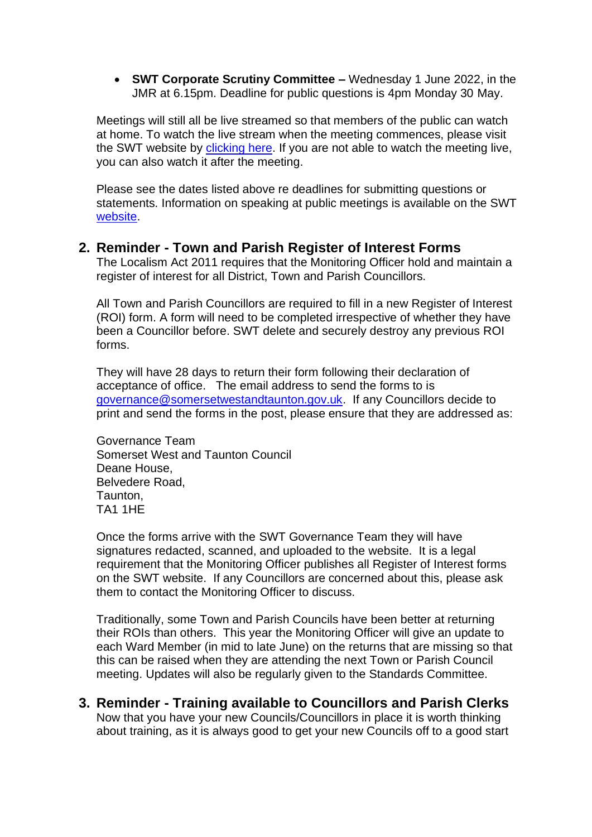• **SWT Corporate Scrutiny Committee –** Wednesday 1 June 2022, in the JMR at 6.15pm. Deadline for public questions is 4pm Monday 30 May.

Meetings will still all be live streamed so that members of the public can watch at home. To watch the live stream when the meeting commences, please visit the SWT website by [clicking here.](https://democracy.somersetwestandtaunton.gov.uk/mgCalendarMonthView.aspx) If you are not able to watch the meeting live, you can also watch it after the meeting.

Please see the dates listed above re deadlines for submitting questions or statements. Information on speaking at public meetings is available on the SWT [website.](https://www.somersetwestandtaunton.gov.uk/your-council/speaking-at-a-council-meeting/)

#### **2. Reminder - Town and Parish Register of Interest Forms**

The Localism Act 2011 requires that the Monitoring Officer hold and maintain a register of interest for all District, Town and Parish Councillors.

All Town and Parish Councillors are required to fill in a new Register of Interest (ROI) form. A form will need to be completed irrespective of whether they have been a Councillor before. SWT delete and securely destroy any previous ROI forms.

They will have 28 days to return their form following their declaration of acceptance of office. The email address to send the forms to is [governance@somersetwestandtaunton.gov.uk.](mailto:governance@somersetwestandtaunton.gov.uk) If any Councillors decide to print and send the forms in the post, please ensure that they are addressed as:

Governance Team Somerset West and Taunton Council Deane House, Belvedere Road, Taunton, TA1 1HE

Once the forms arrive with the SWT Governance Team they will have signatures redacted, scanned, and uploaded to the website. It is a legal requirement that the Monitoring Officer publishes all Register of Interest forms on the SWT website. If any Councillors are concerned about this, please ask them to contact the Monitoring Officer to discuss.

Traditionally, some Town and Parish Councils have been better at returning their ROIs than others. This year the Monitoring Officer will give an update to each Ward Member (in mid to late June) on the returns that are missing so that this can be raised when they are attending the next Town or Parish Council meeting. Updates will also be regularly given to the Standards Committee.

**3. Reminder - Training available to Councillors and Parish Clerks** Now that you have your new Councils/Councillors in place it is worth thinking about training, as it is always good to get your new Councils off to a good start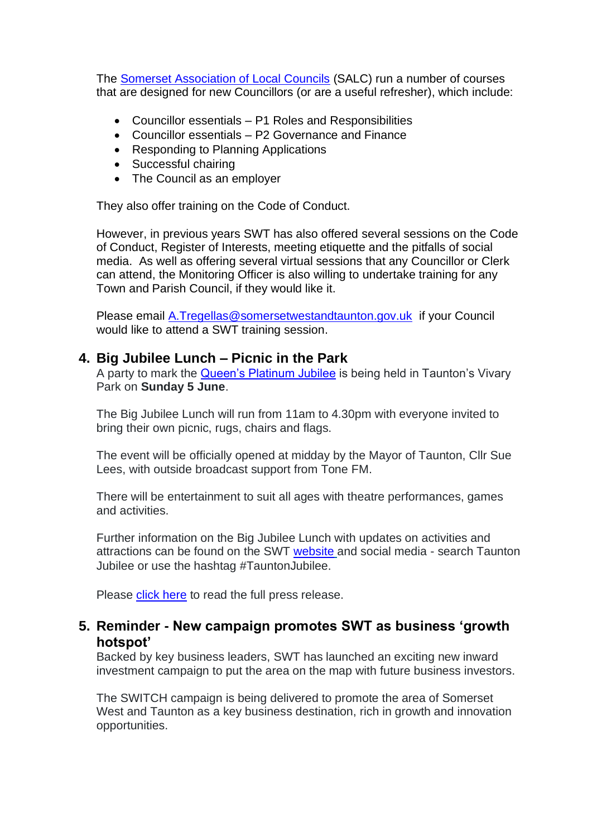The [Somerset Association of Local Councils](https://www.somerset-alc.org.uk/) (SALC) run a number of courses that are designed for new Councillors (or are a useful refresher), which include:

- Councillor essentials P1 Roles and Responsibilities
- Councillor essentials P2 Governance and Finance
- Responding to Planning Applications
- Successful chairing
- The Council as an employer

They also offer training on the Code of Conduct.

However, in previous years SWT has also offered several sessions on the Code of Conduct, Register of Interests, meeting etiquette and the pitfalls of social media. As well as offering several virtual sessions that any Councillor or Clerk can attend, the Monitoring Officer is also willing to undertake training for any Town and Parish Council, if they would like it.

Please email [A.Tregellas@somersetwestandtaunton.gov.uk](mailto:A.Tregellas@somersetwestandtaunton.gov.uk) if your Council would like to attend a SWT training session.

#### **4. Big Jubilee Lunch – Picnic in the Park**

A party to mark the [Queen's Platinum Jubilee](https://platinumjubilee.gov.uk/) is being held in Taunton's Vivary Park on **Sunday 5 June**.

The Big Jubilee Lunch will run from 11am to 4.30pm with everyone invited to bring their own picnic, rugs, chairs and flags.

The event will be officially opened at midday by the Mayor of Taunton, Cllr Sue Lees, with outside broadcast support from Tone FM.

There will be entertainment to suit all ages with theatre performances, games and activities.

Further information on the Big Jubilee Lunch with updates on activities and attractions can be found on the SWT [website](https://www.somersetwestandtaunton.gov.uk/queens-jubilee-celebrations/) and social media - search Taunton Jubilee or use the hashtag #TauntonJubilee.

Please [click here](https://www.somersetwestandtaunton.gov.uk/news/celebrate-the-queen-s-platinum-jubilee-with-swt/) to read the full press release.

## **5. Reminder - New campaign promotes SWT as business 'growth hotspot'**

Backed by key business leaders, SWT has launched an exciting new inward investment campaign to put the area on the map with future business investors.

The SWITCH campaign is being delivered to promote the area of Somerset West and Taunton as a key business destination, rich in growth and innovation opportunities.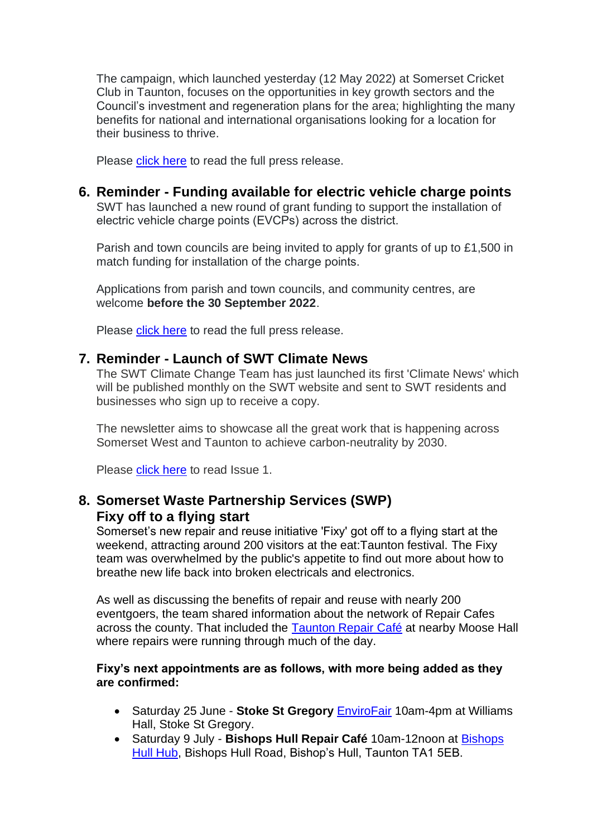The campaign, which launched yesterday (12 May 2022) at Somerset Cricket Club in Taunton, focuses on the opportunities in key growth sectors and the Council's investment and regeneration plans for the area; highlighting the many benefits for national and international organisations looking for a location for their business to thrive.

Please [click here](https://www.somersetwestandtaunton.gov.uk/news/new-campaign-promotes-swt-as-business-growth-hotspot/) to read the full press release.

#### **6. Reminder - Funding available for electric vehicle charge points**

SWT has launched a new round of grant funding to support the installation of electric vehicle charge points (EVCPs) across the district. 

Parish and town councils are being invited to apply for grants of up to £1,500 in match funding for installation of the charge points. 

Applications from parish and town councils, and community centres, are welcome **before the 30 September 2022**. 

Please [click here](https://www.somersetwestandtaunton.gov.uk/news/funding-available-for-electric-vehicle-charge-points/) to read the full press release.

#### **7. Reminder - Launch of SWT Climate News**

The SWT Climate Change Team has just launched its first 'Climate News' which will be published monthly on the SWT website and sent to SWT residents and businesses who sign up to receive a copy.

The newsletter aims to showcase all the great work that is happening across Somerset West and Taunton to achieve carbon-neutrality by 2030.

Please [click here](https://content.govdelivery.com/accounts/UKSWT/bulletins/316fd35) to read Issue 1.

# **8. Somerset Waste Partnership Services (SWP) Fixy off to a flying start**

Somerset's new repair and reuse initiative 'Fixy' got off to a flying start at the weekend, attracting around 200 visitors at the eat:Taunton festival. The Fixy team was overwhelmed by the public's appetite to find out more about how to breathe new life back into broken electricals and electronics.

As well as discussing the benefits of repair and reuse with nearly 200 eventgoers, the team shared information about the network of Repair Cafes across the county. That included the [Taunton Repair Café](https://tauntontransition.wordpress.com/) at nearby Moose Hall where repairs were running through much of the day.

#### **Fixy's next appointments are as follows, with more being added as they are confirmed:**

- Saturday 25 June **Stoke St Gregory** [EnviroFair](https://www.facebook.com/Envirostoke) 10am-4pm at Williams Hall, Stoke St Gregory.
- Saturday 9 July **Bishops Hull Repair Café** 10am-12noon at [Bishops](https://www.facebook.com/BishopsHullHub/)  [Hull Hub,](https://www.facebook.com/BishopsHullHub/) Bishops Hull Road, Bishop's Hull, Taunton TA1 5EB.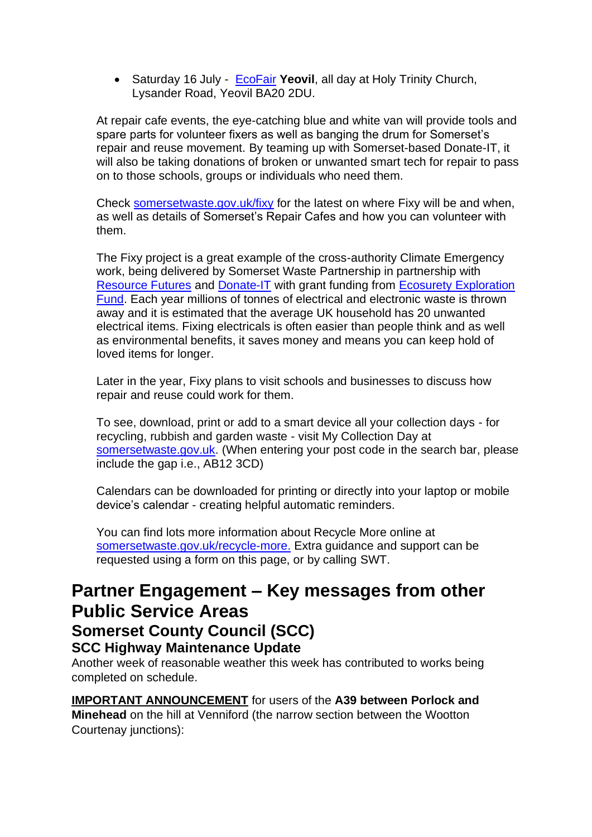• Saturday 16 July - [EcoFair](https://www.facebook.com/Ecofair-Yeovil-327430217932493/) **Yeovil**, all day at Holy Trinity Church, Lysander Road, Yeovil BA20 2DU.

At repair cafe events, the eye-catching blue and white van will provide tools and spare parts for volunteer fixers as well as banging the drum for Somerset's repair and reuse movement. By teaming up with Somerset-based Donate-IT, it will also be taking donations of broken or unwanted smart tech for repair to pass on to those schools, groups or individuals who need them.

Check [somersetwaste.gov.uk/fixy](https://www.somersetwaste.gov.uk/share-and-repair/) for the latest on where Fixy will be and when, as well as details of Somerset's Repair Cafes and how you can volunteer with them.

The Fixy project is a great example of the cross-authority Climate Emergency work, being delivered by Somerset Waste Partnership in partnership with [Resource Futures](https://www.resourcefutures.co.uk/) and [Donate-IT](https://donateit.co.uk/) with grant funding from [Ecosurety Exploration](https://www.ecosurety.com/impact/exploration-fund)  [Fund.](https://www.ecosurety.com/impact/exploration-fund) Each year millions of tonnes of electrical and electronic waste is thrown away and it is estimated that the average UK household has 20 unwanted electrical items. Fixing electricals is often easier than people think and as well as environmental benefits, it saves money and means you can keep hold of loved items for longer.

Later in the year, Fixy plans to visit schools and businesses to discuss how repair and reuse could work for them.

To see, download, print or add to a smart device all your collection days - for recycling, rubbish and garden waste - visit My Collection Day at [somersetwaste.gov.uk.](http://somersetwaste.gov.uk/?fbclid=IwAR3velLcLjig3tJMBaJ5GN7pDKShb2Mg2BiPlOSisalKJMZO3zm6EWOEOKk) (When entering your post code in the search bar, please include the gap i.e., AB12 3CD)

Calendars can be downloaded for printing or directly into your laptop or mobile device's calendar - creating helpful automatic reminders.

You can find lots more information about Recycle More online at [somersetwaste.gov.uk/recycle-more.](https://www.somersetwaste.gov.uk/recycle-more/) Extra guidance and support can be requested using a form on this page, or by calling SWT.

# **Partner Engagement – Key messages from other Public Service Areas**

# **Somerset County Council (SCC)**

**SCC Highway Maintenance Update**

Another week of reasonable weather this week has contributed to works being completed on schedule.

**IMPORTANT ANNOUNCEMENT** for users of the **A39 between Porlock and Minehead** on the hill at Venniford (the narrow section between the Wootton Courtenay junctions):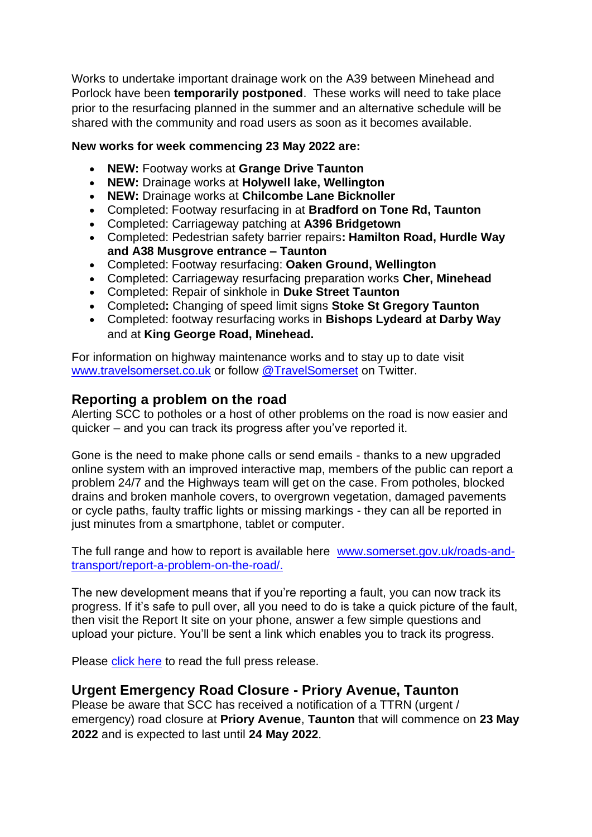Works to undertake important drainage work on the A39 between Minehead and Porlock have been **temporarily postponed**. These works will need to take place prior to the resurfacing planned in the summer and an alternative schedule will be shared with the community and road users as soon as it becomes available.

#### **New works for week commencing 23 May 2022 are:**

- **NEW:** Footway works at **Grange Drive Taunton**
- **NEW:** Drainage works at **Holywell lake, Wellington**
- **NEW:** Drainage works at **Chilcombe Lane Bicknoller**
- Completed: Footway resurfacing in at **Bradford on Tone Rd, Taunton**
- Completed: Carriageway patching at **A396 Bridgetown**
- Completed: Pedestrian safety barrier repairs**: Hamilton Road, Hurdle Way and A38 Musgrove entrance – Taunton**
- Completed: Footway resurfacing: **Oaken Ground, Wellington**
- Completed: Carriageway resurfacing preparation works **Cher, Minehead**
- Completed: Repair of sinkhole in **Duke Street Taunton**
- Completed**:** Changing of speed limit signs **Stoke St Gregory Taunton**
- Completed: footway resurfacing works in **Bishops Lydeard at Darby Way** and at **King George Road, Minehead.**

For information on highway maintenance works and to stay up to date visit [www.travelsomerset.co.uk](http://www.travelsomerset.co.uk/) or follow [@TravelSomerset](https://twitter.com/search?q=%40TravelSomerset&src=recent_search_click) on Twitter.

## **Reporting a problem on the road**

Alerting SCC to potholes or a host of other problems on the road is now easier and quicker – and you can track its progress after you've reported it.

Gone is the need to make phone calls or send emails - thanks to a new upgraded online system with an improved interactive map, members of the public can report a problem 24/7 and the Highways team will get on the case. From potholes, blocked drains and broken manhole covers, to overgrown vegetation, damaged pavements or cycle paths, faulty traffic lights or missing markings - they can all be reported in just minutes from a smartphone, tablet or computer.

The full range and how to report is available here [www.somerset.gov.uk/roads-and](http://www.somerset.gov.uk/roads-and-transport/report-a-problem-on-the-road/)[transport/report-a-problem-on-the-road/.](http://www.somerset.gov.uk/roads-and-transport/report-a-problem-on-the-road/)

The new development means that if you're reporting a fault, you can now track its progress. If it's safe to pull over, all you need to do is take a quick picture of the fault, then visit the Report It site on your phone, answer a few simple questions and upload your picture. You'll be sent a link which enables you to track its progress.

Please [click here](https://somersetnewsroom.com/2021/12/13/reporting-a-problem-on-the-road-is-now-a-hole-lot-easier/) to read the full press release.

## **Urgent Emergency Road Closure - Priory Avenue, Taunton**

Please be aware that SCC has received a notification of a TTRN (urgent / emergency) road closure at **Priory Avenue**, **Taunton** that will commence on **23 May 2022** and is expected to last until **24 May 2022**.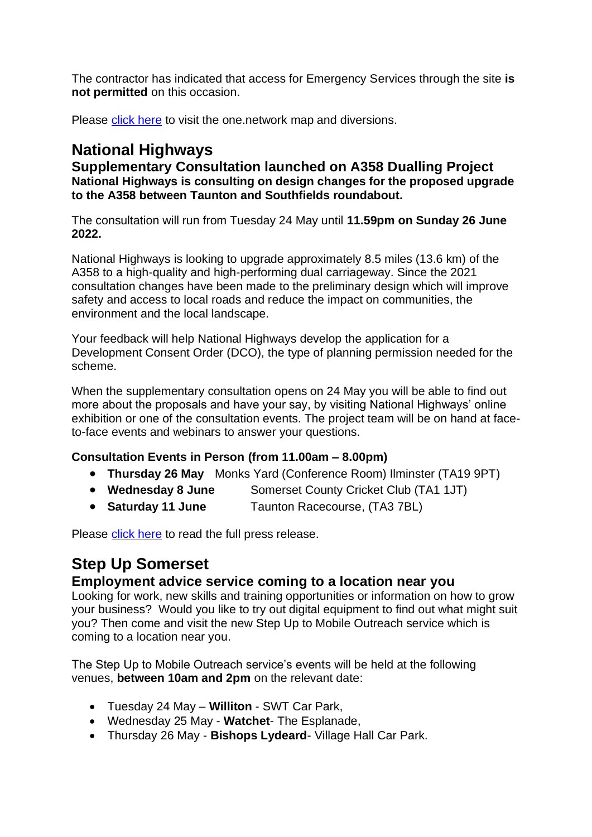The contractor has indicated that access for Emergency Services through the site **is not permitted** on this occasion.

Please [click here](https://one.network/?tm=128669030) to visit the one.network map and diversions.

# **National Highways**

**Supplementary Consultation launched on A358 Dualling Project National Highways is consulting on design changes for the proposed upgrade to the A358 between Taunton and Southfields roundabout.**

The consultation will run from Tuesday 24 May until **11.59pm on Sunday 26 June 2022.**

National Highways is looking to upgrade approximately 8.5 miles (13.6 km) of the A358 to a high-quality and high-performing dual carriageway. Since the 2021 consultation changes have been made to the preliminary design which will improve safety and access to local roads and reduce the impact on communities, the environment and the local landscape.

Your feedback will help National Highways develop the application for a Development Consent Order (DCO), the type of planning permission needed for the scheme.

When the supplementary consultation opens on 24 May you will be able to find out more about the proposals and have your say, by visiting National Highways' online exhibition or one of the consultation events. The project team will be on hand at faceto-face events and webinars to answer your questions.

#### **Consultation Events in Person (from 11.00am – 8.00pm)**

- **Thursday 26 May** Monks Yard (Conference Room) Ilminster (TA19 9PT)
- **Wednesday 8 June** Somerset County Cricket Club (TA1 1JT)
- **Saturday 11 June** Taunton Racecourse, (TA3 7BL)

Please [click here](https://nationalhighways.co.uk/our-work/south-west/a358-taunton-to-southfields/) to read the full press release.

# **Step Up Somerset**

## **Employment advice service coming to a location near you**

Looking for work, new skills and training opportunities or information on how to grow your business? Would you like to try out digital equipment to find out what might suit you? Then come and visit the new Step Up to Mobile Outreach service which is coming to a location near you.

The Step Up to Mobile Outreach service's events will be held at the following venues, **between 10am and 2pm** on the relevant date:

- Tuesday 24 May **Williton** SWT Car Park,
- Wednesday 25 May **Watchet** The Esplanade,
- Thursday 26 May **Bishops Lydeard** Village Hall Car Park.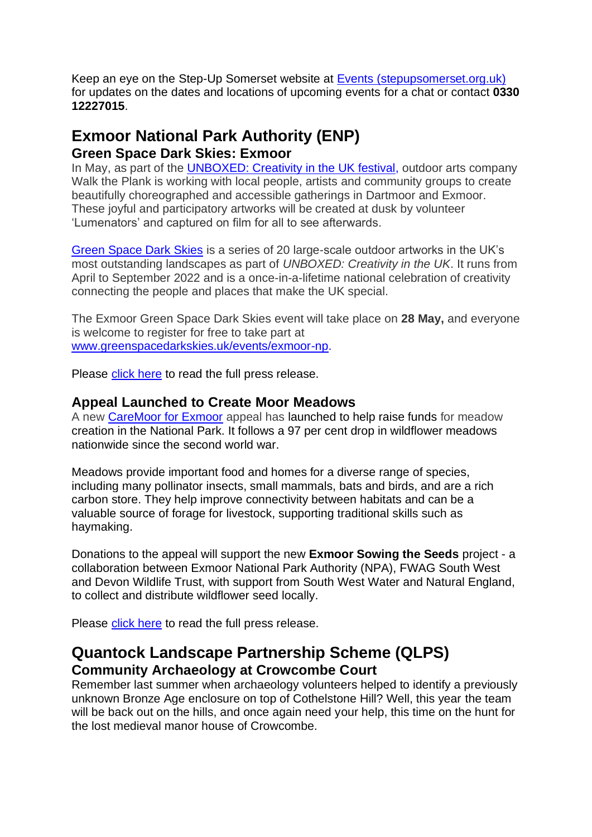Keep an eye on the Step-Up Somerset website at [Events \(stepupsomerset.org.uk\)](https://www.stepupsomerset.org.uk/events) for updates on the dates and locations of upcoming events for a chat or contact **0330 12227015**.

# **Exmoor National Park Authority (ENP) Green Space Dark Skies: Exmoor**

In May, as part of the [UNBOXED: Creativity in the UK festival,](https://unboxed2022.uk/) outdoor arts company Walk the Plank is working with local people, artists and community groups to create beautifully choreographed and accessible gatherings in Dartmoor and Exmoor. These joyful and participatory artworks will be created at dusk by volunteer 'Lumenators' and captured on film for all to see afterwards.

[Green Space Dark Skies](https://www.greenspacedarkskies.uk/) is a series of 20 large-scale outdoor artworks in the UK's most outstanding landscapes as part of *UNBOXED: Creativity in the UK*. It runs from April to September 2022 and is a once-in-a-lifetime national celebration of creativity connecting the people and places that make the UK special.

The Exmoor Green Space Dark Skies event will take place on **28 May,** and everyone is welcome to register for free to take part at [www.greenspacedarkskies.uk/events/exmoor-np.](http://www.greenspacedarkskies.uk/events/exmoor-np)

Please [click here](https://www.exmoor-nationalpark.gov.uk/about-us/press-room/press-room/news-2022/green-space-dark-skies-exmoor) to read the full press release.

#### **Appeal Launched to Create Moor Meadows**

A new [CareMoor for Exmoor](https://www.exmoor-nationalpark.gov.uk/caremoor/caremoor-welcome/sowing-the-seeds-appeal) appeal has launched to help raise funds for meadow creation in the National Park. It follows a 97 per cent drop in wildflower meadows nationwide since the second world war.

Meadows provide important food and homes for a diverse range of species, including many pollinator insects, small mammals, bats and birds, and are a rich carbon store. They help improve connectivity between habitats and can be a valuable source of forage for livestock, supporting traditional skills such as haymaking.

Donations to the appeal will support the new **Exmoor Sowing the Seeds** project - a collaboration between Exmoor National Park Authority (NPA), FWAG South West and Devon Wildlife Trust, with support from South West Water and Natural England, to collect and distribute wildflower seed locally.

Please [click here](https://myemail.constantcontact.com/News-from-Exmoor-National-Park--APPEAL-LAUNCHED-TO-CREATE-MOOR-MEADOWS.html?soid=1102765974837&aid=ZQt9MH9AsgA) to read the full press release.

# **Quantock Landscape Partnership Scheme (QLPS) Community Archaeology at Crowcombe Court**

Remember last summer when archaeology volunteers helped to identify a previously unknown Bronze Age enclosure on top of Cothelstone Hill? Well, this year the team will be back out on the hills, and once again need your help, this time on the hunt for the lost medieval manor house of Crowcombe.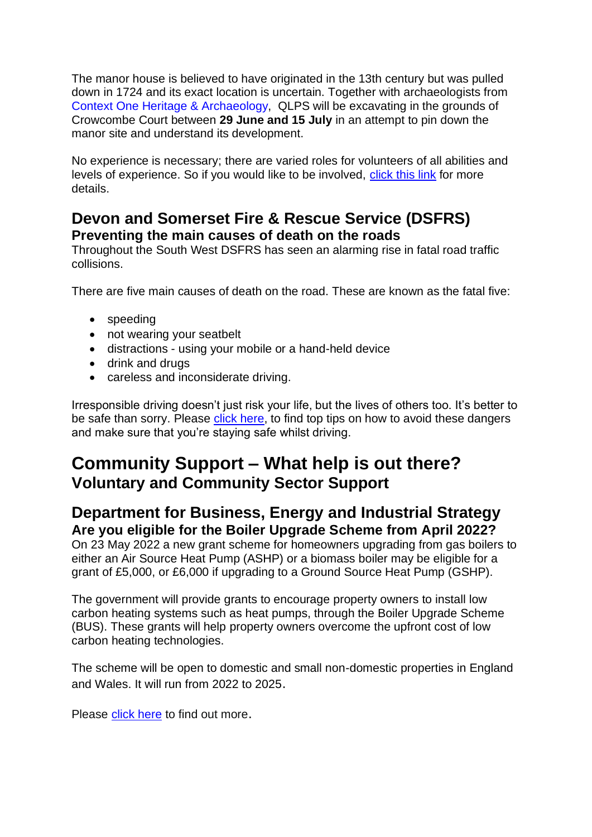The manor house is believed to have originated in the 13th century but was pulled down in 1724 and its exact location is uncertain. Together with archaeologists from Context One Heritage & [Archaeology,](https://www.facebook.com/contextone/?__cft__%5b0%5d=AZXktRg9UC3oQ-VTQ4KqpNiJ_6uNCB3OIbqFFuMPsmRjcWaD9Vh1aCF40JvJn4b8gNEKIfR-mR8gt3rXszwoBLA5vi6dJmi4nTHIeIc1MOyB4sK071_Wtq-_qhIkRxNhry_IRQgv5zmGg8yoNTkeDqwq&__tn__=kK-R) QLPS will be excavating in the grounds of Crowcombe Court between **29 June and 15 July** in an attempt to pin down the manor site and understand its development.

No experience is necessary; there are varied roles for volunteers of all abilities and levels of experience. So if you would like to be involved, [click](https://qlps.org/community-archaeology-at-crowcombe-court-summer-2022-how-to-get-involved/?fbclid=IwAR2MiNfb_1IvsRzrw8TDlv2YeOldcPhlbp2U_b_jmnZ0wTvCTMRg9BC_9w8) this link for more details.

# **Devon and Somerset Fire & Rescue Service (DSFRS) Preventing the main causes of death on the roads**

Throughout the South West DSFRS has seen an alarming rise in fatal road traffic collisions.

There are five main causes of death on the road. These are known as the fatal five:

- speeding
- not wearing your seatbelt
- distractions using your mobile or a hand-held device
- drink and drugs
- careless and inconsiderate driving.

Irresponsible driving doesn't just risk your life, but the lives of others too. It's better to be safe than sorry. Please [click here,](https://www.dsfire.gov.uk/safety/on-the-road/driving-safety) to find top tips on how to avoid these dangers and make sure that you're staying safe whilst driving.

# **Community Support – What help is out there? Voluntary and Community Sector Support**

# **Department for Business, Energy and Industrial Strategy Are you eligible for the Boiler Upgrade Scheme from April 2022?**

On 23 May 2022 a new grant scheme for homeowners upgrading from gas boilers to either an Air Source Heat Pump (ASHP) or a biomass boiler may be eligible for a grant of £5,000, or £6,000 if upgrading to a Ground Source Heat Pump (GSHP).

The government will provide grants to encourage property owners to install low carbon heating systems such as heat pumps, through the Boiler Upgrade Scheme (BUS). These grants will help property owners overcome the upfront cost of low carbon heating technologies.

The scheme will be open to domestic and small non-domestic properties in England and Wales. It will run from 2022 to 2025.

Please [click here](https://www.gov.uk/guidance/check-if-you-may-be-eligible-for-the-boiler-upgrade-scheme-from-april-2022?msclkid=d53e6753af6a11ec8609ab845fd2b2ca) to find out more.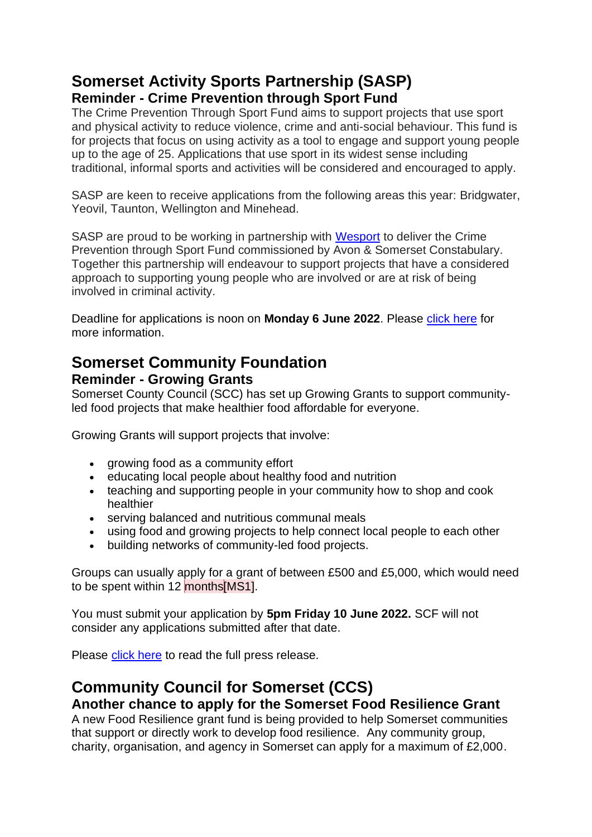# **Somerset Activity Sports Partnership (SASP) Reminder - Crime Prevention through Sport Fund**

The Crime Prevention Through Sport Fund aims to support projects that use sport and physical activity to reduce violence, crime and anti-social behaviour. This fund is for projects that focus on using activity as a tool to engage and support young people up to the age of 25. Applications that use sport in its widest sense including traditional, informal sports and activities will be considered and encouraged to apply.

SASP are keen to receive applications from the following areas this year: Bridgwater, Yeovil, Taunton, Wellington and Minehead.

SASP are proud to be working in partnership with [Wesport](https://www.wesport.org.uk/) to deliver the Crime Prevention through Sport Fund commissioned by Avon & Somerset Constabulary. Together this partnership will endeavour to support projects that have a considered approach to supporting young people who are involved or are at risk of being involved in criminal activity.

Deadline for applications is noon on **Monday 6 June 2022**. Please [click here](https://www.sasp.co.uk/crime-prevention-fund?fbclid=IwAR18QxnAULNENOH5ymOrvSbwKMZzpE5xBj4bi5R-_rfIGVsLuftEJ93-WEk) for more information.

# **Somerset Community Foundation Reminder - Growing Grants**

Somerset County Council (SCC) has set up Growing Grants to support communityled food projects that make healthier food affordable for everyone.

Growing Grants will support projects that involve:

- growing food as a community effort
- educating local people about healthy food and nutrition
- teaching and supporting people in your community how to shop and cook healthier
- serving balanced and nutritious communal meals
- using food and growing projects to help connect local people to each other
- building networks of community-led food projects.

Groups can usually apply for a grant of between £500 and £5,000, which would need to be spent within 12 months[MS1].

You must submit your application by **5pm Friday 10 June 2022.** SCF will not consider any applications submitted after that date.

Please [click here](https://somersetcf.org.uk/growing) to read the full press release.

## **Community Council for Somerset (CCS) Another chance to apply for the Somerset Food Resilience Grant**

A new Food Resilience grant fund is being provided to help Somerset communities that support or directly work to develop food resilience. Any community group, charity, organisation, and agency in Somerset can apply for a maximum of £2,000.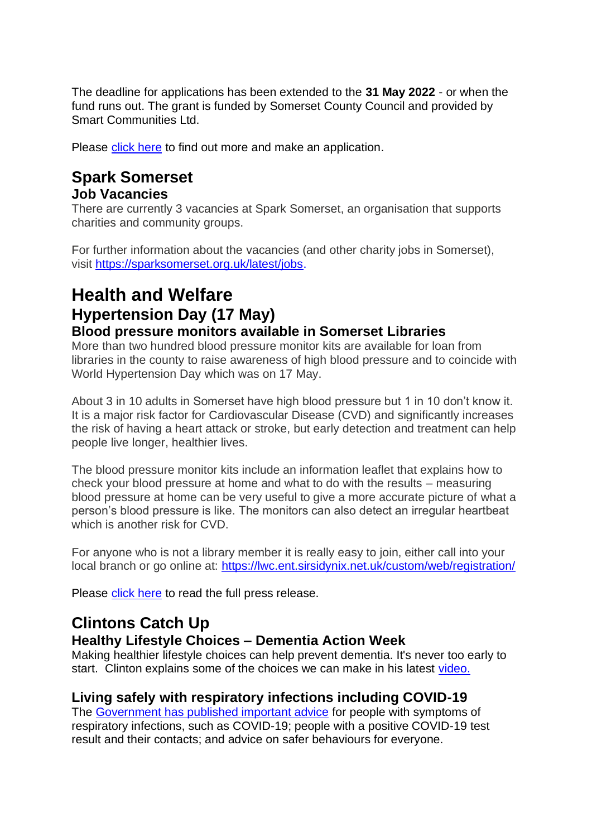The deadline for applications has been extended to the **31 May 2022** - or when the fund runs out. The grant is funded by Somerset County Council and provided by Smart Communities Ltd.

Please [click here](https://smartcommunities.online/new-food-resilience-grant-fund/) to find out more and make an application.

# **Spark Somerset Job Vacancies**

There are currently 3 vacancies at Spark Somerset, an organisation that supports charities and community groups.

For further information about the vacancies (and other charity jobs in Somerset), visit [https://sparksomerset.org.uk/latest/jobs.](https://sparksomerset.org.uk/latest/jobs)

# **Health and Welfare Hypertension Day (17 May) Blood pressure monitors available in Somerset Libraries**

More than two hundred blood pressure monitor kits are available for loan from libraries in the county to raise awareness of high blood pressure and to coincide with World Hypertension Day which was on 17 May.

About 3 in 10 adults in Somerset have high blood pressure but 1 in 10 don't know it. It is a major risk factor for Cardiovascular Disease (CVD) and significantly increases the risk of having a heart attack or stroke, but early detection and treatment can help people live longer, healthier lives.

The blood pressure monitor kits include an information leaflet that explains how to check your blood pressure at home and what to do with the results – measuring blood pressure at home can be very useful to give a more accurate picture of what a person's blood pressure is like. The monitors can also detect an irregular heartbeat which is another risk for CVD.

For anyone who is not a library member it is really easy to join, either call into your local branch or go online at: <https://lwc.ent.sirsidynix.net.uk/custom/web/registration/>

Please [click here](https://somersetnewsroom.com/2022/05/17/over-two-hundred-blood-pressure-monitors-available-in-somerset-libraries/) to read the full press release.

# **Clintons Catch Up**

# **Healthy Lifestyle Choices – Dementia Action Week**

Making healthier lifestyle choices can help prevent dementia. It's never too early to start. Clinton explains some of the choices we can make in his latest [video.](https://www.youtube.com/watch?v=-tMPJ4mAevo)

## **Living safely with respiratory infections including COVID-19**

The Government has [published important advice](https://newsletters.onyx-sites.io/?mailpoet_router&endpoint=track&action=click&data=WyI2NjM2IiwidHRzeGVycTFtamtrY29nMGtvOGcwZ2trODRvZ2t3YzAiLCIxNDE5IiwiMTA5MGQ5NzhlMTg5IixmYWxzZV0) for people with symptoms of respiratory infections, such as COVID-19; people with a positive COVID-19 test result and their contacts; and advice on safer behaviours for everyone.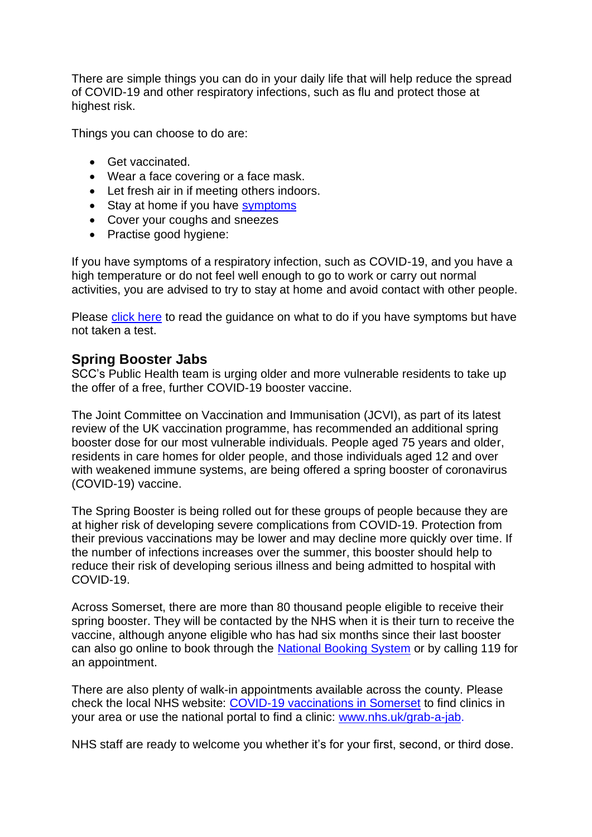There are simple things you can do in your daily life that will help reduce the spread of COVID-19 and other respiratory infections, such as flu and protect those at highest risk.

Things you can choose to do are:

- Get vaccinated.
- Wear a face covering or a face mask.
- Let fresh air in if meeting others indoors.
- Stay at home if you have [symptoms](https://newsletters.onyx-sites.io/?mailpoet_router&endpoint=track&action=click&data=WyI1MjEiLCIxbWRhbWxvZnRhbjRnb2d3ODRrZ2s0azhzOHdzd3c0YyIsIjE0MTciLCI3MDMyNWYxYzNmODEiLGZhbHNlXQ)
- Cover your coughs and sneezes
- Practise good hygiene:

If you have symptoms of a respiratory infection, such as COVID-19, and you have a high temperature or do not feel well enough to go to work or carry out normal activities, you are advised to try to stay at home and avoid contact with other people.

Please [click here](https://www.gov.uk/guidance/people-with-symptoms-of-a-respiratory-infection-including-covid-19#what-to-do-if-you-have-symptoms-of-a-respiratory-infection-including-covid-19-and-have-not-taken-a-covid-19-test) to read the guidance on what to do if you have symptoms but have not taken a test.

#### **Spring Booster Jabs**

SCC's Public Health team is urging older and more vulnerable residents to take up the offer of a free, further COVID-19 booster vaccine.

The Joint Committee on Vaccination and Immunisation (JCVI), as part of its latest review of the UK vaccination programme, has recommended an additional spring booster dose for our most vulnerable individuals. People aged 75 years and older, residents in care homes for older people, and those individuals aged 12 and over with weakened immune systems, are being offered a spring booster of coronavirus (COVID-19) vaccine.

The Spring Booster is being rolled out for these groups of people because they are at higher risk of developing severe complications from COVID-19. Protection from their previous vaccinations may be lower and may decline more quickly over time. If the number of infections increases over the summer, this booster should help to reduce their risk of developing serious illness and being admitted to hospital with COVID-19.

Across Somerset, there are more than 80 thousand people eligible to receive their spring booster. They will be contacted by the NHS when it is their turn to receive the vaccine, although anyone eligible who has had six months since their last booster can also go online to book through the [National Booking System](https://bit.ly/SomersetCovidBookings) or by calling 119 for an appointment.

There are also plenty of walk-in appointments available across the county. Please check the local NHS website: [COVID-19 vaccinations in Somerset](https://www.somersetccg.nhs.uk/covid-vaccines/) to find clinics in your area or use the national portal to find a clinic: [www.nhs.uk/grab-a-jab.](https://newsletters.onyx-sites.io/?mailpoet_router&endpoint=track&action=click&data=WyI1MjEiLCIxbWRhbWxvZnRhbjRnb2d3ODRrZ2s0azhzOHdzd3c0YyIsIjEzOTkiLCJhYjE5NmExNWJkMmUiLGZhbHNlXQ)

NHS staff are ready to welcome you whether it's for your first, second, or third dose.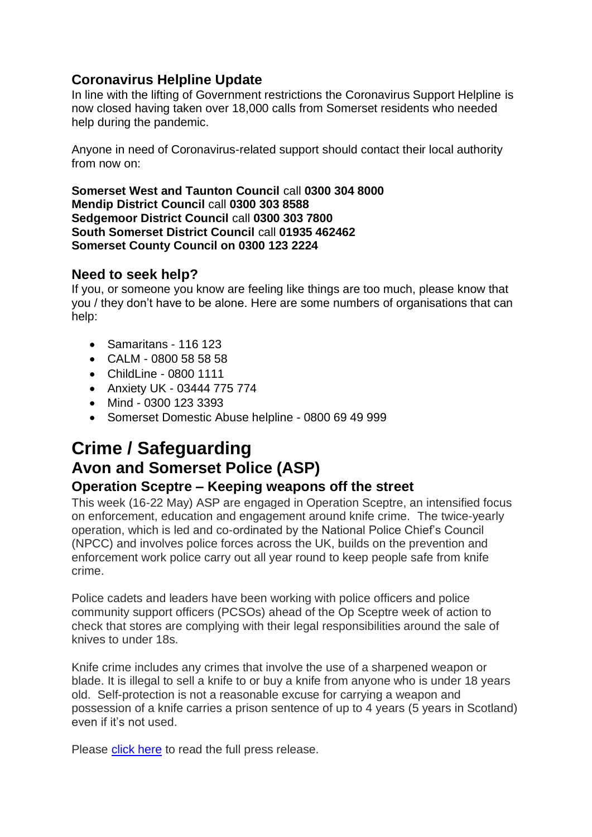# **Coronavirus Helpline Update**

In line with the lifting of Government restrictions the Coronavirus Support Helpline is now closed having taken over 18,000 calls from Somerset residents who needed help during the pandemic.

Anyone in need of Coronavirus-related support should contact their local authority from now on:

**Somerset West and Taunton Council** call **0300 304 8000 Mendip District Council** call **0300 303 8588 Sedgemoor District Council** call **0300 303 7800 South Somerset District Council** call **01935 462462 Somerset County Council on 0300 123 2224**

## **Need to seek help?**

If you, or someone you know are feeling like things are too much, please know that you / they don't have to be alone. Here are some numbers of organisations that can help:

- Samaritans 116 123
- CALM 0800 58 58 58
- ChildLine 0800 1111
- Anxiety UK 03444 775 774
- Mind 0300 123 3393
- Somerset Domestic Abuse helpline 0800 69 49 999

# **Crime / Safeguarding Avon and Somerset Police (ASP)**

## **Operation Sceptre – Keeping weapons off the street**

This week (16-22 May) ASP are engaged in Operation Sceptre, an intensified focus on enforcement, education and engagement around knife crime. The twice-yearly operation, which is led and co-ordinated by the National Police Chief's Council (NPCC) and involves police forces across the UK, builds on the prevention and enforcement work police carry out all year round to keep people safe from knife crime.

Police cadets and leaders have been working with police officers and police community support officers (PCSOs) ahead of the Op Sceptre week of action to check that stores are complying with their legal responsibilities around the sale of knives to under 18s.

Knife crime includes any crimes that involve the use of a sharpened weapon or blade. It is illegal to sell a knife to or buy a knife from anyone who is under 18 years old. Self-protection is not a reasonable excuse for carrying a weapon and possession of a knife carries a prison sentence of up to 4 years (5 years in Scotland) even if it's not used.

Please [click here](https://www.avonandsomerset.police.uk/news/2022/05/keeping-weapons-off-the-streets/) to read the full press release.